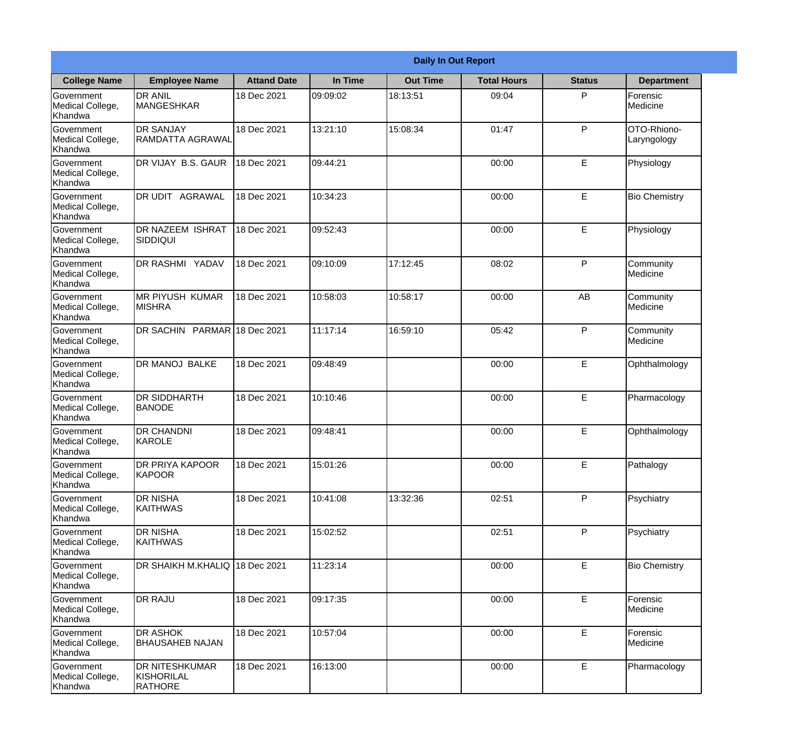|                                                  | <b>Daily In Out Report</b>                            |                    |          |                 |                    |               |                            |  |
|--------------------------------------------------|-------------------------------------------------------|--------------------|----------|-----------------|--------------------|---------------|----------------------------|--|
| <b>College Name</b>                              | <b>Employee Name</b>                                  | <b>Attand Date</b> | In Time  | <b>Out Time</b> | <b>Total Hours</b> | <b>Status</b> | <b>Department</b>          |  |
| Government<br>Medical College,<br>Khandwa        | <b>DR ANIL</b><br><b>MANGESHKAR</b>                   | 18 Dec 2021        | 09:09:02 | 18:13:51        | 09:04              | P             | Forensic<br>Medicine       |  |
| Government<br>Medical College,<br>Khandwa        | <b>DR SANJAY</b><br><b>RAMDATTA AGRAWAL</b>           | 18 Dec 2021        | 13:21:10 | 15:08:34        | 01:47              | P             | OTO-Rhiono-<br>Laryngology |  |
| <b>Government</b><br>Medical College,<br>Khandwa | DR VIJAY B.S. GAUR                                    | 18 Dec 2021        | 09:44:21 |                 | 00:00              | E             | Physiology                 |  |
| Government<br>Medical College,<br>Khandwa        | DR UDIT AGRAWAL                                       | 18 Dec 2021        | 10:34:23 |                 | 00:00              | E             | <b>Bio Chemistry</b>       |  |
| Government<br>Medical College,<br>Khandwa        | <b>DR NAZEEM ISHRAT</b><br>SIDDIQUI                   | 18 Dec 2021        | 09:52:43 |                 | 00:00              | E             | Physiology                 |  |
| Government<br>Medical College,<br>Khandwa        | DR RASHMI YADAV                                       | 18 Dec 2021        | 09:10:09 | 17:12:45        | 08:02              | P             | Community<br>Medicine      |  |
| <b>Government</b><br>Medical College,<br>Khandwa | <b>MR PIYUSH KUMAR</b><br><b>MISHRA</b>               | 18 Dec 2021        | 10:58:03 | 10:58:17        | 00:00              | AB            | Community<br>Medicine      |  |
| Government<br>Medical College,<br>Khandwa        | DR SACHIN PARMAR 18 Dec 2021                          |                    | 11:17:14 | 16:59:10        | 05:42              | P             | Community<br>Medicine      |  |
| <b>Government</b><br>Medical College,<br>Khandwa | <b>DR MANOJ BALKE</b>                                 | 18 Dec 2021        | 09:48:49 |                 | 00:00              | E             | Ophthalmology              |  |
| Government<br>Medical College,<br>Khandwa        | <b>DR SIDDHARTH</b><br><b>BANODE</b>                  | 18 Dec 2021        | 10:10:46 |                 | 00:00              | E             | Pharmacology               |  |
| Government<br>Medical College,<br>Khandwa        | <b>DR CHANDNI</b><br>KAROLE                           | 18 Dec 2021        | 09:48:41 |                 | 00:00              | E             | Ophthalmology              |  |
| Government<br>Medical College,<br>Khandwa        | DR PRIYA KAPOOR<br>KAPOOR                             | 18 Dec 2021        | 15:01:26 |                 | 00:00              | E             | Pathalogy                  |  |
| Government<br>Medical College,<br>Khandwa        | <b>DR NISHA</b><br><b>KAITHWAS</b>                    | 18 Dec 2021        | 10:41:08 | 13:32:36        | 02:51              | P             | Psychiatry                 |  |
| Government<br>Medical College,<br>Khandwa        | <b>DR NISHA</b><br><b>KAITHWAS</b>                    | 18 Dec 2021        | 15:02:52 |                 | 02:51              | P             | Psychiatry                 |  |
| Government<br>Medical College,<br>Khandwa        | <b>DR SHAIKH M.KHALIQ</b>                             | 18 Dec 2021        | 11:23:14 |                 | 00:00              | E             | <b>Bio Chemistry</b>       |  |
| Government<br>Medical College,<br>Khandwa        | <b>DR RAJU</b>                                        | 18 Dec 2021        | 09:17:35 |                 | 00:00              | E             | Forensic<br>Medicine       |  |
| Government<br>Medical College,<br>Khandwa        | <b>DR ASHOK</b><br><b>BHAUSAHEB NAJAN</b>             | 18 Dec 2021        | 10:57:04 |                 | 00:00              | E             | Forensic<br>Medicine       |  |
| Government<br>Medical College,<br>Khandwa        | <b>DR NITESHKUMAR</b><br>KISHORILAL<br><b>RATHORE</b> | 18 Dec 2021        | 16:13:00 |                 | 00:00              | E             | Pharmacology               |  |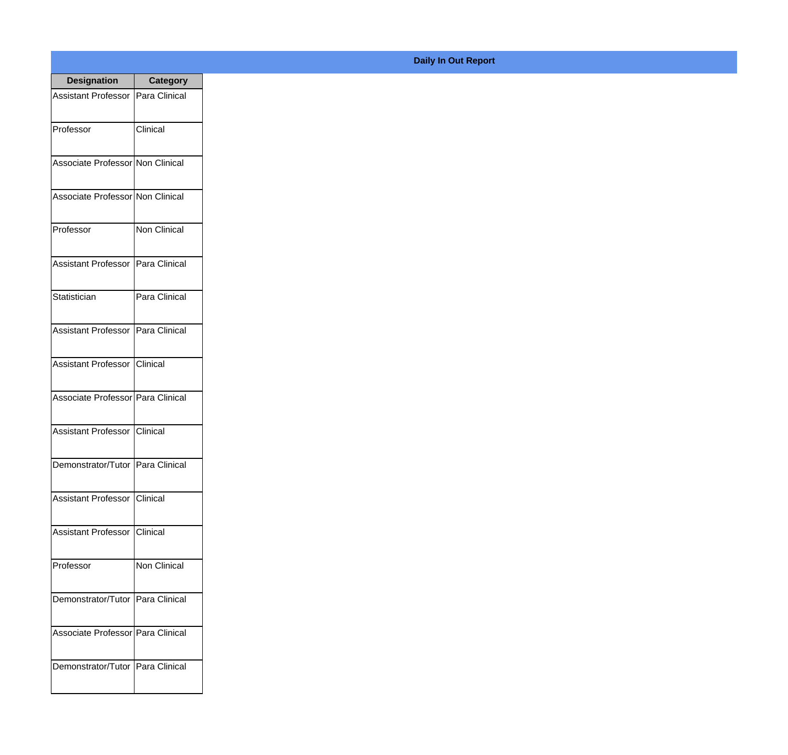| <b>Designation</b>                  | <b>Category</b> |
|-------------------------------------|-----------------|
| Assistant Professor   Para Clinical |                 |
| Professor                           | Clinical        |
| Associate Professor Non Clinical    |                 |
| Associate Professor Non Clinical    |                 |
| Professor                           | Non Clinical    |
| Assistant Professor   Para Clinical |                 |
| Statistician                        | Para Clinical   |
| Assistant Professor   Para Clinical |                 |
| Assistant Professor   Clinical      |                 |
| Associate Professor   Para Clinical |                 |
| <b>Assistant Professor</b>          | IClinical       |
| Demonstrator/Tutor   Para Clinical  |                 |
| <b>Assistant Professor</b>          | Clinical        |
| Assistant Professor   Clinical      |                 |
| Professor                           | Non Clinical    |
| Demonstrator/Tutor   Para Clinical  |                 |
| Associate Professor   Para Clinical |                 |
| Demonstrator/Tutor   Para Clinical  |                 |

## **Daily In Out Report**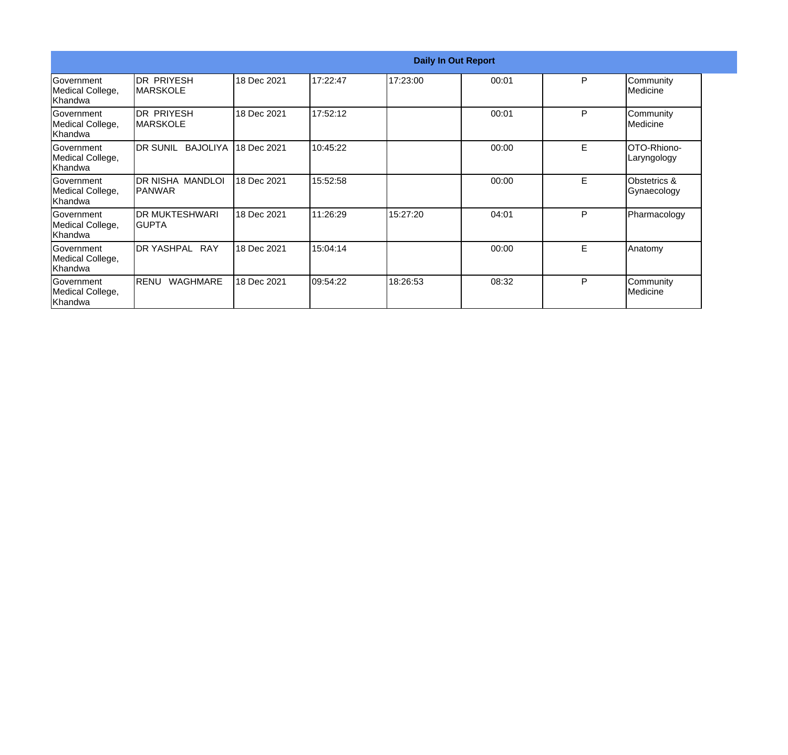|                                                  | <b>Daily In Out Report</b>         |             |          |          |       |   |                                   |
|--------------------------------------------------|------------------------------------|-------------|----------|----------|-------|---|-----------------------------------|
| Government<br>Medical College,<br>Khandwa        | DR PRIYESH<br>IMARSKOLE            | 18 Dec 2021 | 17:22:47 | 17:23:00 | 00:01 | P | Community<br>Medicine             |
| Government<br>Medical College,<br>Khandwa        | IDR PRIYESH<br>IMARSKOLE           | 18 Dec 2021 | 17:52:12 |          | 00:01 | P | Community<br>Medicine             |
| Government<br>Medical College,<br>Khandwa        | DR SUNIL<br><b>BAJOLIYA</b>        | 18 Dec 2021 | 10:45:22 |          | 00:00 | Е | <b>OTO-Rhiono-</b><br>Laryngology |
| Government<br>Medical College,<br>Khandwa        | DR NISHA MANDLOI<br><b>IPANWAR</b> | 18 Dec 2021 | 15:52:58 |          | 00:00 | Е | Obstetrics &<br>Gynaecology       |
| Government<br>Medical College,<br>Khandwa        | <b>IDR MUKTESHWARI</b><br>IGUPTA   | 18 Dec 2021 | 11:26:29 | 15:27:20 | 04:01 | P | Pharmacology                      |
| Government<br>Medical College,<br>Khandwa        | DR YASHPAL RAY                     | 18 Dec 2021 | 15:04:14 |          | 00:00 | E | Anatomy                           |
| <b>Government</b><br>Medical College,<br>Khandwa | WAGHMARE<br><b>RENU</b>            | 18 Dec 2021 | 09:54:22 | 18:26:53 | 08:32 | P | Community<br>Medicine             |